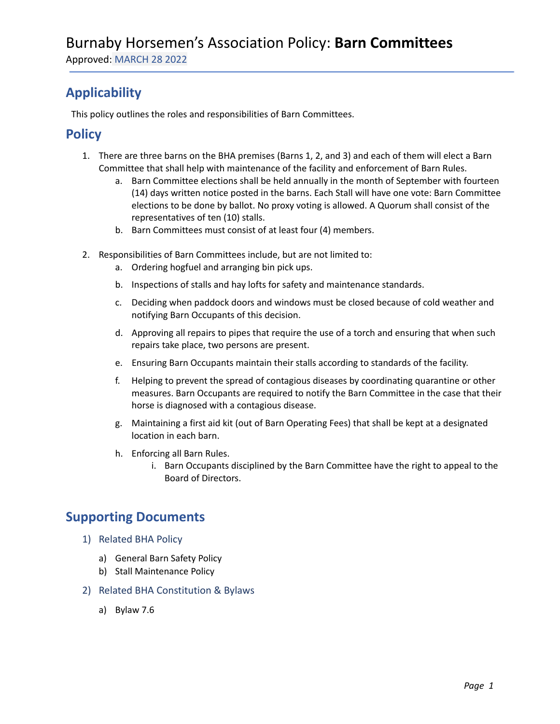Approved: MARCH 28 2022

## **Applicability**

This policy outlines the roles and responsibilities of Barn Committees.

### **Policy**

- 1. There are three barns on the BHA premises (Barns 1, 2, and 3) and each of them will elect a Barn Committee that shall help with maintenance of the facility and enforcement of Barn Rules.
	- a. Barn Committee elections shall be held annually in the month of September with fourteen (14) days written notice posted in the barns. Each Stall will have one vote: Barn Committee elections to be done by ballot. No proxy voting is allowed. A Quorum shall consist of the representatives of ten (10) stalls.
	- b. Barn Committees must consist of at least four (4) members.
- 2. Responsibilities of Barn Committees include, but are not limited to:
	- a. Ordering hogfuel and arranging bin pick ups.
	- b. Inspections of stalls and hay lofts for safety and maintenance standards.
	- c. Deciding when paddock doors and windows must be closed because of cold weather and notifying Barn Occupants of this decision.
	- d. Approving all repairs to pipes that require the use of a torch and ensuring that when such repairs take place, two persons are present.
	- e. Ensuring Barn Occupants maintain their stalls according to standards of the facility.
	- f. Helping to prevent the spread of contagious diseases by coordinating quarantine or other measures. Barn Occupants are required to notify the Barn Committee in the case that their horse is diagnosed with a contagious disease.
	- g. Maintaining a first aid kit (out of Barn Operating Fees) that shall be kept at a designated location in each barn.
	- h. Enforcing all Barn Rules.
		- i. Barn Occupants disciplined by the Barn Committee have the right to appeal to the Board of Directors.

#### **Supporting Documents**

- 1) Related BHA Policy
	- a) General Barn Safety Policy
	- b) Stall Maintenance Policy
- 2) Related BHA Constitution & Bylaws
	- a) Bylaw 7.6